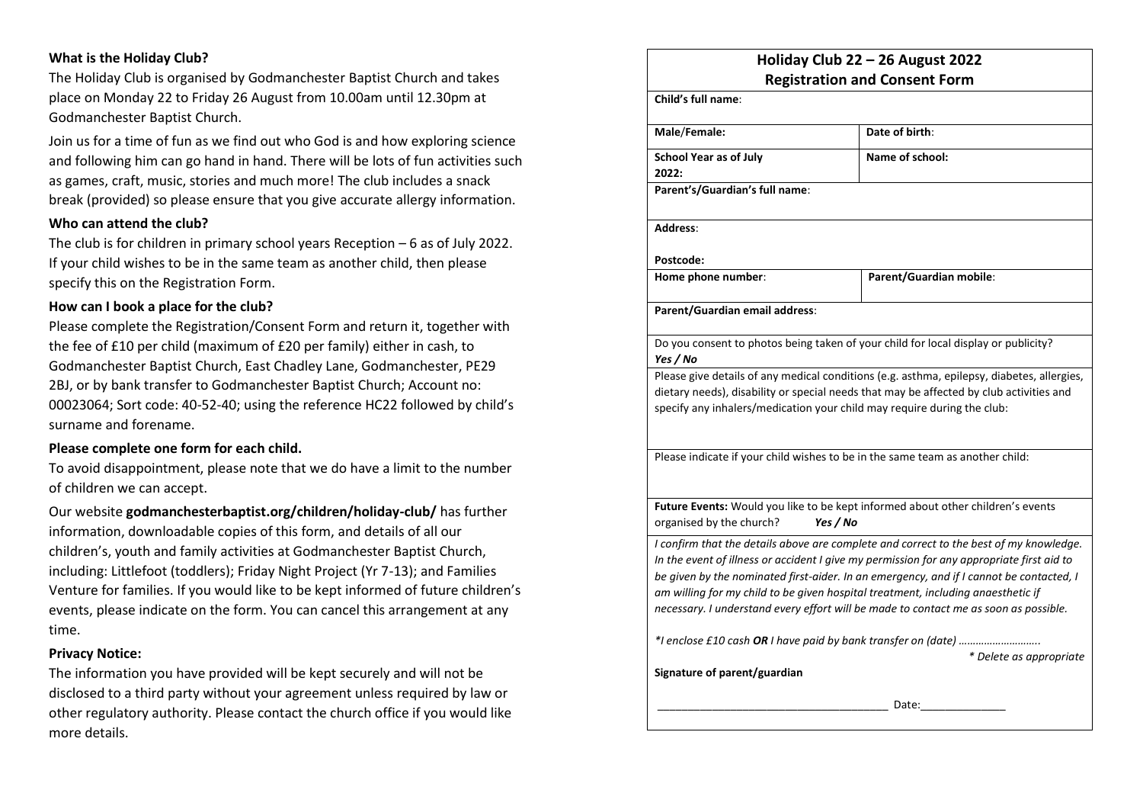# **What is the Holiday Club?**

The Holiday Club is organised by Godmanchester Baptist Church and takes place on Monday 22 to Friday 26 August from 10.00am until 12.30pm at Godmanchester Baptist Church.

Join us for a time of fun as we find out who God is and how exploring science and following him can go hand in hand. There will be lots of fun activities such as games, craft, music, stories and much more! The club includes a snack break (provided) so please ensure that you give accurate allergy information.

### **Who can attend the club?**

The club is for children in primary school years Reception – 6 as of July 2022. If your child wishes to be in the same team as another child, then please specify this on the Registration Form.

#### **How can I book a place for the club?**

Please complete the Registration/Consent Form and return it, together with the fee of £10 per child (maximum of £20 per family) either in cash, to Godmanchester Baptist Church, East Chadley Lane, Godmanchester, PE29 2BJ, or by bank transfer to Godmanchester Baptist Church; Account no: 00023064; Sort code: 40-52-40; using the reference HC22 followed by child's surname and forename.

#### **Please complete one form for each child.**

To avoid disappointment, please note that we do have a limit to the number of children we can accept.

Our website **godmanchesterbaptist.org/children/holiday-club/** has further information, downloadable copies of this form, and details of all our children's, youth and family activities at Godmanchester Baptist Church, including: Littlefoot (toddlers); Friday Night Project (Yr 7-13); and Families Venture for families. If you would like to be kept informed of future children's events, please indicate on the form. You can cancel this arrangement at any time.

#### **Privacy Notice:**

The information you have provided will be kept securely and will not be disclosed to a third party without your agreement unless required by law or other regulatory authority. Please contact the church office if you would like more details.

# **Holiday Club 22 – 26 August 2022 Registration and Consent Form**

| Child's full name:                                                                             |                         |
|------------------------------------------------------------------------------------------------|-------------------------|
| Male/Female:                                                                                   | Date of birth:          |
| <b>School Year as of July</b>                                                                  | Name of school:         |
| 2022:                                                                                          |                         |
| Parent's/Guardian's full name:                                                                 |                         |
| Address:                                                                                       |                         |
| Postcode:                                                                                      |                         |
| Home phone number:                                                                             | Parent/Guardian mobile: |
| Parent/Guardian email address:                                                                 |                         |
| Do you consent to photos being taken of your child for local display or publicity?<br>Yes / No |                         |
| Please give details of any medical conditions (e.g. asthma, epilepsy, diabetes, allergies,     |                         |
| dietary needs), disability or special needs that may be affected by club activities and        |                         |
| specify any inhalers/medication your child may require during the club:                        |                         |
|                                                                                                |                         |
| Please indicate if your child wishes to be in the same team as another child:                  |                         |
|                                                                                                |                         |
| Future Events: Would you like to be kept informed about other children's events                |                         |
| organised by the church?<br>Yes / No                                                           |                         |
| I confirm that the details above are complete and correct to the best of my knowledge.         |                         |
| In the event of illness or accident I give my permission for any appropriate first aid to      |                         |
| be given by the nominated first-aider. In an emergency, and if I cannot be contacted, I        |                         |
| am willing for my child to be given hospital treatment, including anaesthetic if               |                         |
| necessary. I understand every effort will be made to contact me as soon as possible.           |                         |
| * Delete as appropriate                                                                        |                         |
| Signature of parent/guardian                                                                   |                         |
|                                                                                                |                         |
| Date:                                                                                          |                         |